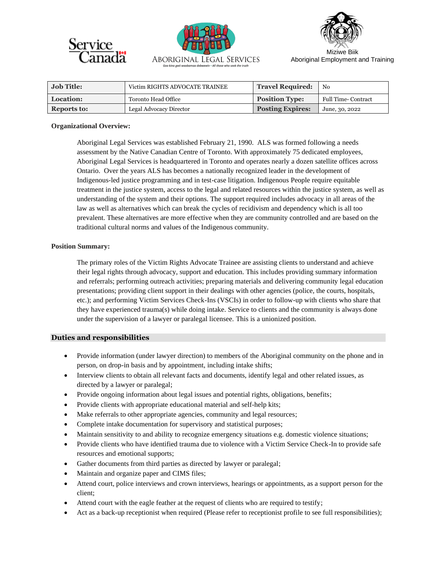





Miziwe Biik Aboriginal Employment and Training

| <b>Job Title:</b> | Victim RIGHTS ADVOCATE TRAINEE | <b>Travel Required:</b> | N <sub>0</sub>             |
|-------------------|--------------------------------|-------------------------|----------------------------|
| Location:         | Toronto Head Office            | <b>Position Type:</b>   | <b>Full Time- Contract</b> |
| Reports to:       | Legal Advocacy Director        | <b>Posting Expires:</b> | June, 30, 2022             |

#### **Organizational Overview:**

Aboriginal Legal Services was established February 21, 1990. ALS was formed following a needs assessment by the Native Canadian Centre of Toronto. With approximately 75 dedicated employees, Aboriginal Legal Services is headquartered in Toronto and operates nearly a dozen satellite offices across Ontario. Over the years ALS has becomes a nationally recognized leader in the development of Indigenous-led justice programming and in test-case litigation. Indigenous People require equitable treatment in the justice system, access to the legal and related resources within the justice system, as well as understanding of the system and their options. The support required includes advocacy in all areas of the law as well as alternatives which can break the cycles of recidivism and dependency which is all too prevalent. These alternatives are more effective when they are community controlled and are based on the traditional cultural norms and values of the Indigenous community.

## **Position Summary:**

The primary roles of the Victim Rights Advocate Trainee are assisting clients to understand and achieve their legal rights through advocacy, support and education. This includes providing summary information and referrals; performing outreach activities; preparing materials and delivering community legal education presentations; providing client support in their dealings with other agencies (police, the courts, hospitals, etc.); and performing Victim Services Check-Ins (VSCIs) in order to follow-up with clients who share that they have experienced trauma(s) while doing intake. Service to clients and the community is always done under the supervision of a lawyer or paralegal licensee. This is a unionized position.

## **Duties and responsibilities**

- Provide information (under lawyer direction) to members of the Aboriginal community on the phone and in person, on drop-in basis and by appointment, including intake shifts;
- Interview clients to obtain all relevant facts and documents, identify legal and other related issues, as directed by a lawyer or paralegal;
- Provide ongoing information about legal issues and potential rights, obligations, benefits;
- Provide clients with appropriate educational material and self-help kits;
- Make referrals to other appropriate agencies, community and legal resources;
- Complete intake documentation for supervisory and statistical purposes;
- Maintain sensitivity to and ability to recognize emergency situations e.g. domestic violence situations;
- Provide clients who have identified trauma due to violence with a Victim Service Check-In to provide safe resources and emotional supports;
- Gather documents from third parties as directed by lawyer or paralegal;
- Maintain and organize paper and CIMS files;
- Attend court, police interviews and crown interviews, hearings or appointments, as a support person for the client;
- Attend court with the eagle feather at the request of clients who are required to testify;
- Act as a back-up receptionist when required (Please refer to receptionist profile to see full responsibilities);